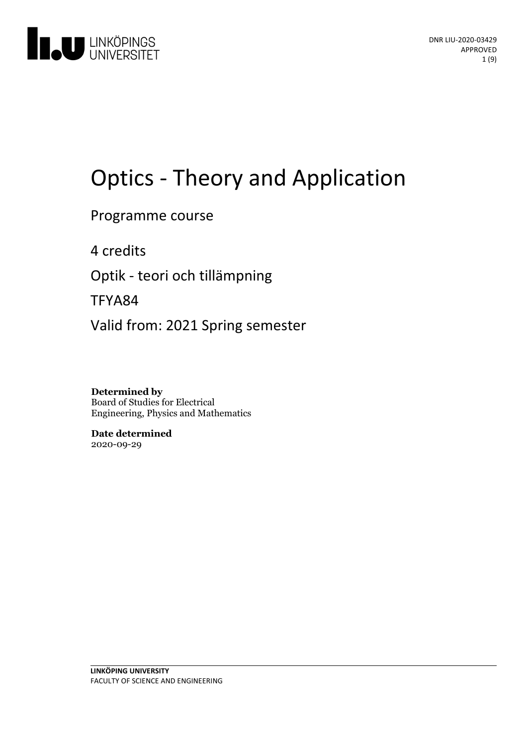

# Optics - Theory and Application

Programme course

4 credits

Optik - teori och tillämpning

TFYA84

Valid from: 2021 Spring semester

**Determined by** Board of Studies for Electrical Engineering, Physics and Mathematics

**Date determined** 2020-09-29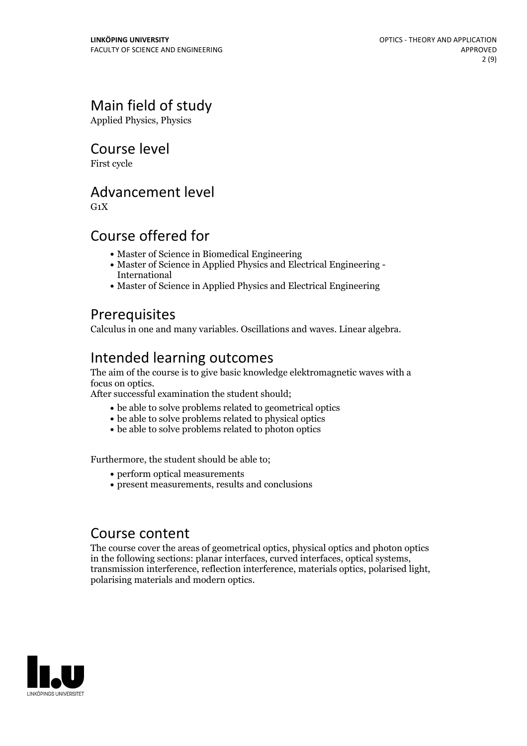# Main field of study

Applied Physics, Physics

### Course level

First cycle

### Advancement level

 $G_1X$ 

# Course offered for

- Master of Science in Biomedical Engineering
- Master of Science in Applied Physics and Electrical Engineering International
- Master of Science in Applied Physics and Electrical Engineering

# **Prerequisites**

Calculus in one and many variables. Oscillations and waves. Linear algebra.

# Intended learning outcomes

The aim of the course is to give basic knowledge elektromagnetic waves with a

After successful examination the student should;

- be able to solve problems related to geometrical optics
- be able to solve problems related to physical optics
- be able to solve problems related to photon optics

Furthermore, the student should be able to;

- perform optical measurements
- present measurements, results and conclusions

### Course content

The course cover the areas of geometrical optics, physical optics and photon optics in the following sections: planar interfaces, curved interfaces, optical systems, transmission interference, reflection interference, materials optics, polarised light, polarising materials and modern optics.

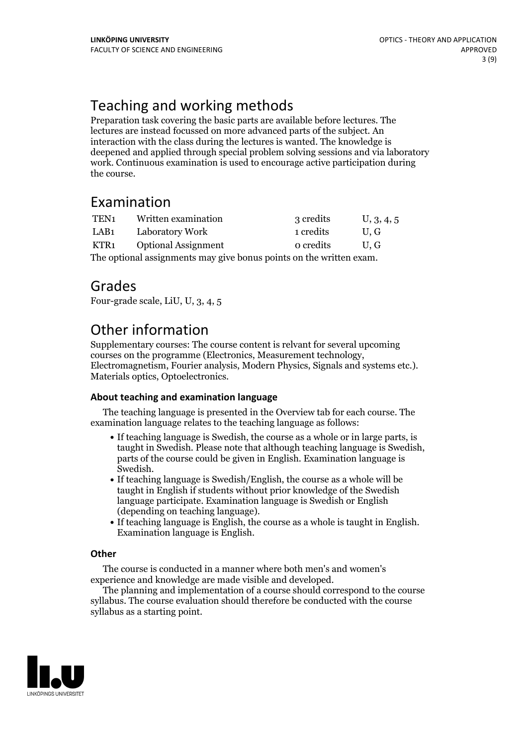# Teaching and working methods

Preparation task covering the basic parts are available before lectures. The lectures are instead focussed on more advanced parts of the subject. An interaction with the class during the lectures is wanted. The knowledge is deepened and applied through special problem solving sessions and via laboratory work. Continuous examination is used to encourage active participation during the course.

### Examination

| TEN <sub>1</sub>                                                    | Written examination        | 3 credits | U, 3, 4, 5 |
|---------------------------------------------------------------------|----------------------------|-----------|------------|
| LAB1                                                                | Laboratory Work            | 1 credits | U.G        |
| KTR1                                                                | <b>Optional Assignment</b> | o credits | U.G        |
| The optional assignments may give bonus points on the written exam. |                            |           |            |

Grades

Four-grade scale, LiU, U, 3, 4, 5

# Other information

Supplementary courses: The course content is relvant for several upcoming courses on the programme (Electronics, Measurement technology, Electromagnetism, Fourier analysis, Modern Physics, Signals and systems etc.). Materials optics, Optoelectronics.

#### **About teaching and examination language**

The teaching language is presented in the Overview tab for each course. The examination language relates to the teaching language as follows:

- If teaching language is Swedish, the course as a whole or in large parts, is taught in Swedish. Please note that although teaching language is Swedish, parts of the course could be given in English. Examination language is
- $\bullet$  If teaching language is Swedish/English, the course as a whole will be taught in English if students without prior knowledge of the Swedish language participate. Examination language is Swedish or English
- (depending on teaching language).<br>• If teaching language is English, the course as a whole is taught in English.<br>Examination language is English.

#### **Other**

The course is conducted in a manner where both men's and women's

experience and knowledge are made visible and developed. The planning and implementation of <sup>a</sup> course should correspond to the course syllabus. The course evaluation should therefore be conducted with the course syllabus as a starting point.

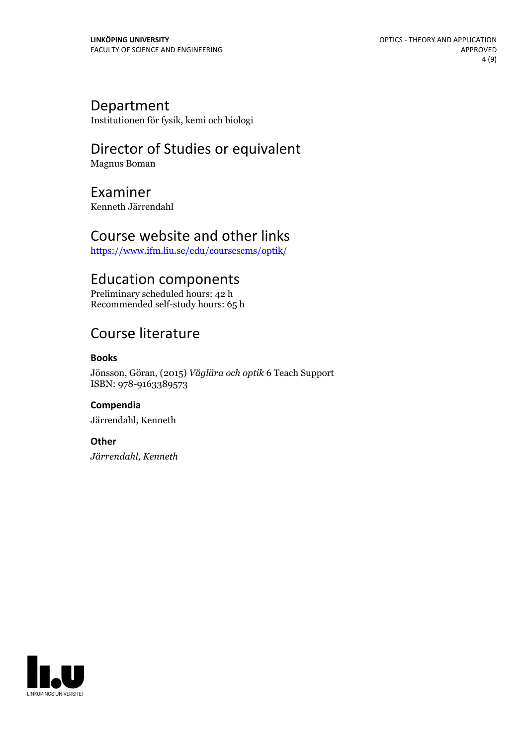### Department

Institutionen för fysik, kemi och biologi

# Director of Studies or equivalent

Magnus Boman

# Examiner

Kenneth Järrendahl

### Course website and other links

<https://www.ifm.liu.se/edu/coursescms/optik/>

# Education components

Preliminary scheduled hours: 42 h Recommended self-study hours: 65 h

# Course literature

#### **Books**

Jönsson, Göran, (2015) *Våglära och optik* 6 Teach Support ISBN: 978-9163389573

**Compendia** Järrendahl, Kenneth

#### **Other**

*Järrendahl, Kenneth*

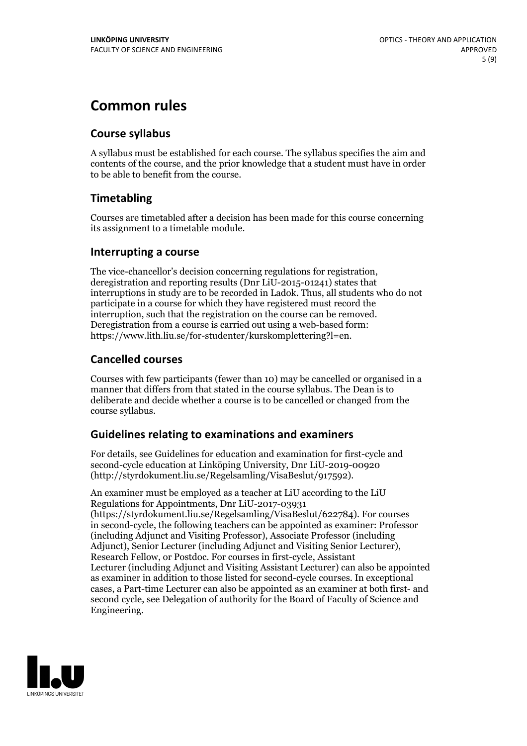# **Common rules**

#### **Course syllabus**

A syllabus must be established for each course. The syllabus specifies the aim and contents of the course, and the prior knowledge that a student must have in order to be able to benefit from the course.

### **Timetabling**

Courses are timetabled after a decision has been made for this course concerning its assignment to a timetable module.

#### **Interrupting a course**

The vice-chancellor's decision concerning regulations for registration, deregistration and reporting results (Dnr LiU-2015-01241) states that interruptions in study are to be recorded in Ladok. Thus, all students who do not participate in a course for which they have registered must record the interruption, such that the registration on the course can be removed. Deregistration from <sup>a</sup> course is carried outusing <sup>a</sup> web-based form: https://www.lith.liu.se/for-studenter/kurskomplettering?l=en.

### **Cancelled courses**

Courses with few participants (fewer than 10) may be cancelled or organised in a manner that differs from that stated in the course syllabus. The Dean is to deliberate and decide whether a course is to be cancelled or changed from the course syllabus.

### **Guidelines relatingto examinations and examiners**

For details, see Guidelines for education and examination for first-cycle and second-cycle education at Linköping University, Dnr LiU-2019-00920 (http://styrdokument.liu.se/Regelsamling/VisaBeslut/917592).

An examiner must be employed as a teacher at LiU according to the LiU Regulations for Appointments, Dnr LiU-2017-03931 (https://styrdokument.liu.se/Regelsamling/VisaBeslut/622784). For courses in second-cycle, the following teachers can be appointed as examiner: Professor (including Adjunct and Visiting Professor), Associate Professor (including Adjunct), Senior Lecturer (including Adjunct and Visiting Senior Lecturer), Research Fellow, or Postdoc. For courses in first-cycle, Assistant Lecturer (including Adjunct and Visiting Assistant Lecturer) can also be appointed as examiner in addition to those listed for second-cycle courses. In exceptional cases, a Part-time Lecturer can also be appointed as an examiner at both first- and second cycle, see Delegation of authority for the Board of Faculty of Science and Engineering.

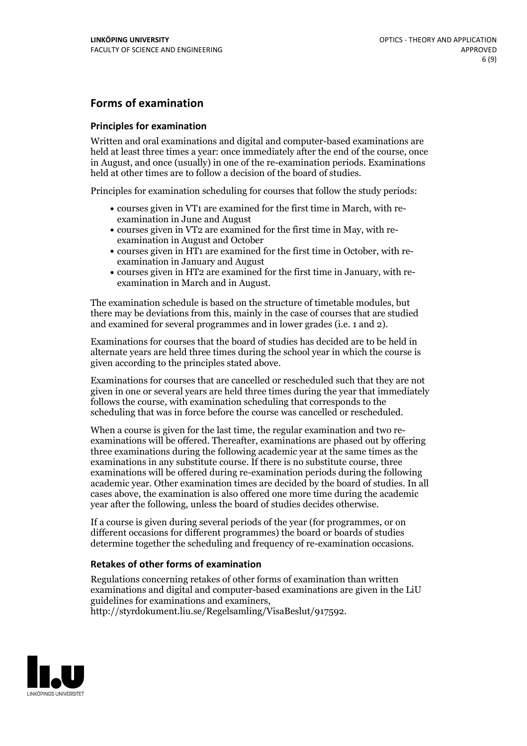#### **Forms of examination**

#### **Principles for examination**

Written and oral examinations and digital and computer-based examinations are held at least three times a year: once immediately after the end of the course, once in August, and once (usually) in one of the re-examination periods. Examinations held at other times are to follow a decision of the board of studies.

Principles for examination scheduling for courses that follow the study periods:

- courses given in VT1 are examined for the first time in March, with re-examination in June and August
- courses given in VT2 are examined for the first time in May, with re-examination in August and October
- courses given in HT1 are examined for the first time in October, with re-examination in January and August
- courses given in HT2 are examined for the first time in January, with re-examination in March and in August.

The examination schedule is based on the structure of timetable modules, but there may be deviations from this, mainly in the case of courses that are studied and examined for several programmes and in lower grades (i.e. 1 and 2).

Examinations for courses that the board of studies has decided are to be held in alternate years are held three times during the school year in which the course is given according to the principles stated above.

Examinations for courses that are cancelled orrescheduled such that they are not given in one or several years are held three times during the year that immediately follows the course, with examination scheduling that corresponds to the scheduling that was in force before the course was cancelled or rescheduled.

When a course is given for the last time, the regular examination and two re-<br>examinations will be offered. Thereafter, examinations are phased out by offering three examinations during the following academic year at the same times as the examinations in any substitute course. If there is no substitute course, three examinations will be offered during re-examination periods during the following academic year. Other examination times are decided by the board of studies. In all cases above, the examination is also offered one more time during the academic year after the following, unless the board of studies decides otherwise.

If a course is given during several periods of the year (for programmes, or on different occasions for different programmes) the board or boards of studies determine together the scheduling and frequency of re-examination occasions.

#### **Retakes of other forms of examination**

Regulations concerning retakes of other forms of examination than written examinations and digital and computer-based examinations are given in the LiU guidelines for examinations and examiners, http://styrdokument.liu.se/Regelsamling/VisaBeslut/917592.

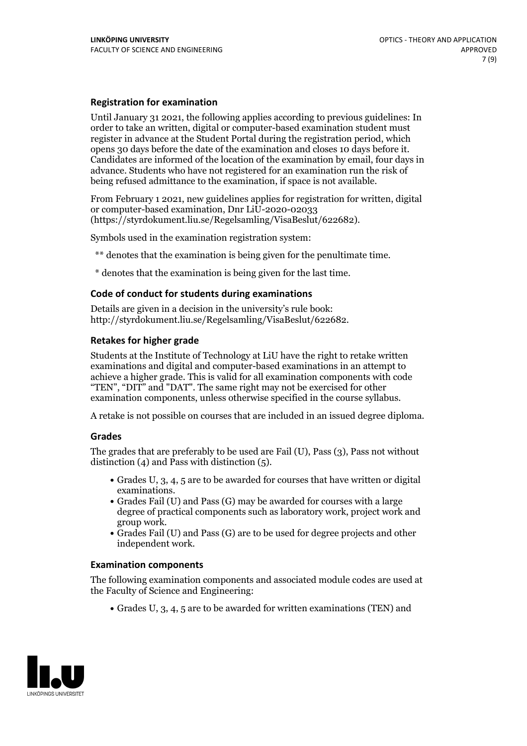#### **Registration for examination**

Until January 31 2021, the following applies according to previous guidelines: In order to take an written, digital or computer-based examination student must register in advance at the Student Portal during the registration period, which Candidates are informed of the location of the examination by email, four days in advance. Students who have not registered for an examination run the risk of being refused admittance to the examination, if space is not available.

From February 1 2021, new guidelines applies for registration for written, digital or computer-based examination, Dnr LiU-2020-02033 (https://styrdokument.liu.se/Regelsamling/VisaBeslut/622682).

Symbols used in the examination registration system:

\*\* denotes that the examination is being given for the penultimate time.

\* denotes that the examination is being given for the last time.

#### **Code of conduct for students during examinations**

Details are given in a decision in the university's rule book: http://styrdokument.liu.se/Regelsamling/VisaBeslut/622682.

#### **Retakes for higher grade**

Students at the Institute of Technology at LiU have the right to retake written examinations and digital and computer-based examinations in an attempt to achieve a higher grade. This is valid for all examination components with code "TEN", "DIT" and "DAT". The same right may not be exercised for other examination components, unless otherwise specified in the course syllabus.

A retake is not possible on courses that are included in an issued degree diploma.

#### **Grades**

The grades that are preferably to be used are Fail (U), Pass (3), Pass not without distinction  $(4)$  and Pass with distinction  $(5)$ .

- Grades U, 3, 4, 5 are to be awarded for courses that have written or digital examinations.<br>• Grades Fail (U) and Pass (G) may be awarded for courses with a large
- degree of practical components such as laboratory work, project work and
- $\bullet$  Grades Fail (U) and Pass (G) are to be used for degree projects and other independent work.

#### **Examination components**

The following examination components and associated module codes are used at the Faculty of Science and Engineering:

Grades U, 3, 4, 5 are to be awarded for written examinations (TEN) and

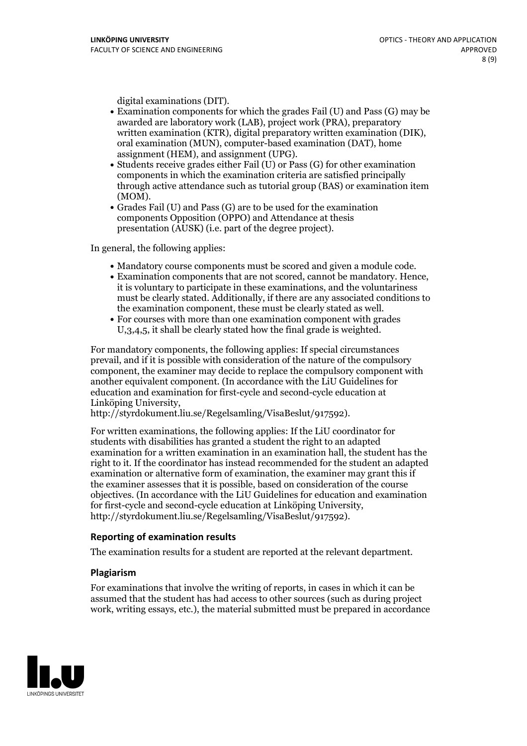- digital examinations (DIT).<br>• Examination components for which the grades Fail (U) and Pass (G) may be awarded are laboratory work (LAB), project work (PRA), preparatory written examination (KTR), digital preparatory written examination (DIK), oral examination (MUN), computer-based examination (DAT), home
- assignment (HEM), and assignment (UPG).<br>• Students receive grades either Fail (U) or Pass (G) for other examination components in which the examination criteria are satisfied principally through active attendance such as tutorial group (BAS) or examination item
- (MOM).<br>• Grades Fail (U) and Pass (G) are to be used for the examination components Opposition (OPPO) and Attendance at thesis presentation (AUSK) (i.e. part of the degree project).

In general, the following applies:

- 
- Mandatory course components must be scored and given <sup>a</sup> module code. Examination components that are not scored, cannot be mandatory. Hence, it is voluntary to participate in these examinations, and the voluntariness must be clearly stated. Additionally, if there are any associated conditions to the examination component, these must be clearly stated as well.<br>• For courses with more than one examination component with grades
- U,3,4,5, it shall be clearly stated how the final grade is weighted.

For mandatory components, the following applies: If special circumstances prevail, and if it is possible with consideration of the nature ofthe compulsory component, the examiner may decide to replace the compulsory component with another equivalent component. (In accordance with the LiU Guidelines for education and examination for first-cycle and second-cycle education at Linköping University, http://styrdokument.liu.se/Regelsamling/VisaBeslut/917592).

For written examinations, the following applies: If the LiU coordinator for students with disabilities has granted a student the right to an adapted examination for a written examination in an examination hall, the student has the right to it. If the coordinator has instead recommended for the student an adapted examination or alternative form of examination, the examiner may grant this if the examiner assesses that it is possible, based on consideration of the course objectives. (In accordance with the LiU Guidelines for education and examination for first-cycle and second-cycle education at Linköping University, http://styrdokument.liu.se/Regelsamling/VisaBeslut/917592).

#### **Reporting of examination results**

The examination results for a student are reported at the relevant department.

#### **Plagiarism**

For examinations that involve the writing of reports, in cases in which it can be assumed that the student has had access to other sources (such as during project work, writing essays, etc.), the material submitted must be prepared in accordance